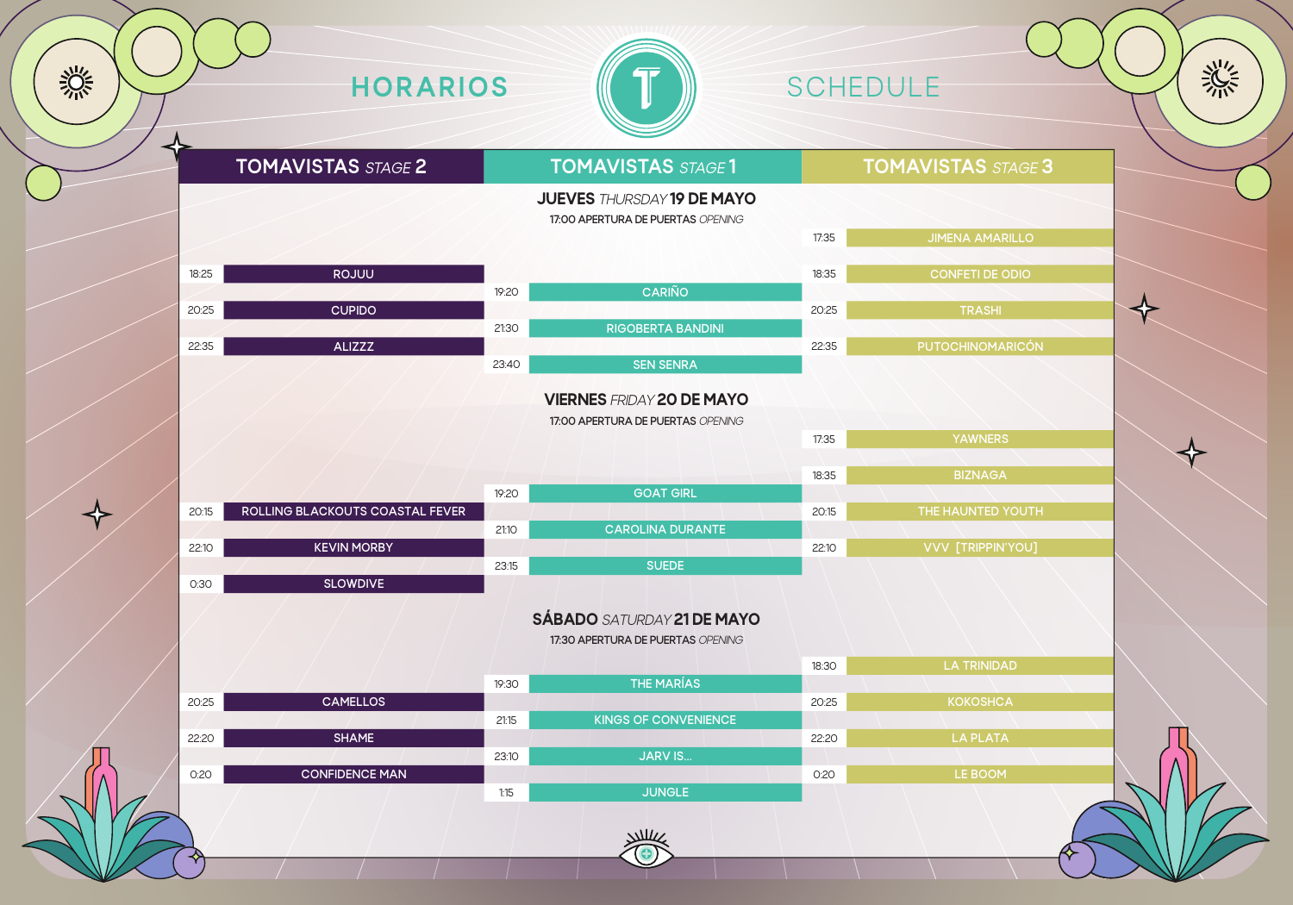| 17:35 | <b>JIMENA AMARILLO</b> |
|-------|------------------------|
|       |                        |
| 18:35 | <b>CONFETI DE ODIO</b> |
|       |                        |
| 20:25 | <b>TRASHI</b>          |
|       |                        |
| 22:35 | PUTOCHINOMARICÓN       |
|       |                        |
|       |                        |
|       |                        |
|       |                        |
| 17:35 | <b>YAWNERS</b>         |
|       |                        |
| 18:35 | <b>BIZNAGA</b>         |
|       |                        |
| 20:15 | THE HAUNTED YOUTH      |
|       |                        |
| 22:10 | VVV [TRIPPIN'YOU]      |
|       |                        |





|                   | 19:20 | <b>GOAT GIRL</b>        |
|-------------------|-------|-------------------------|
| <b>STAL FEVER</b> |       |                         |
|                   | 21:10 | <b>CAROLINA DURANTE</b> |
|                   |       |                         |

|       | 17:30 APERTURA DE PUERTAS OPENING |             |             |  |
|-------|-----------------------------------|-------------|-------------|--|
|       |                                   | 18:30       | LA TRINIDAD |  |
| 19:30 | THE MARÍAS                        |             |             |  |
|       |                                   | 20:25       | KOKOSHCA    |  |
| 21:15 | KINGS OF CONVENIENCE              |             |             |  |
|       |                                   | 22:20       | LA PLATA    |  |
| 23:10 | <b>JARV IS</b>                    |             |             |  |
|       |                                   | <b>O:20</b> | LE BOOM     |  |
| 1:15  | <b>JUNGLE</b>                     |             |             |  |
|       |                                   |             |             |  |
|       | $N\mathcal{U}$                    |             |             |  |
|       |                                   |             |             |  |
|       |                                   |             |             |  |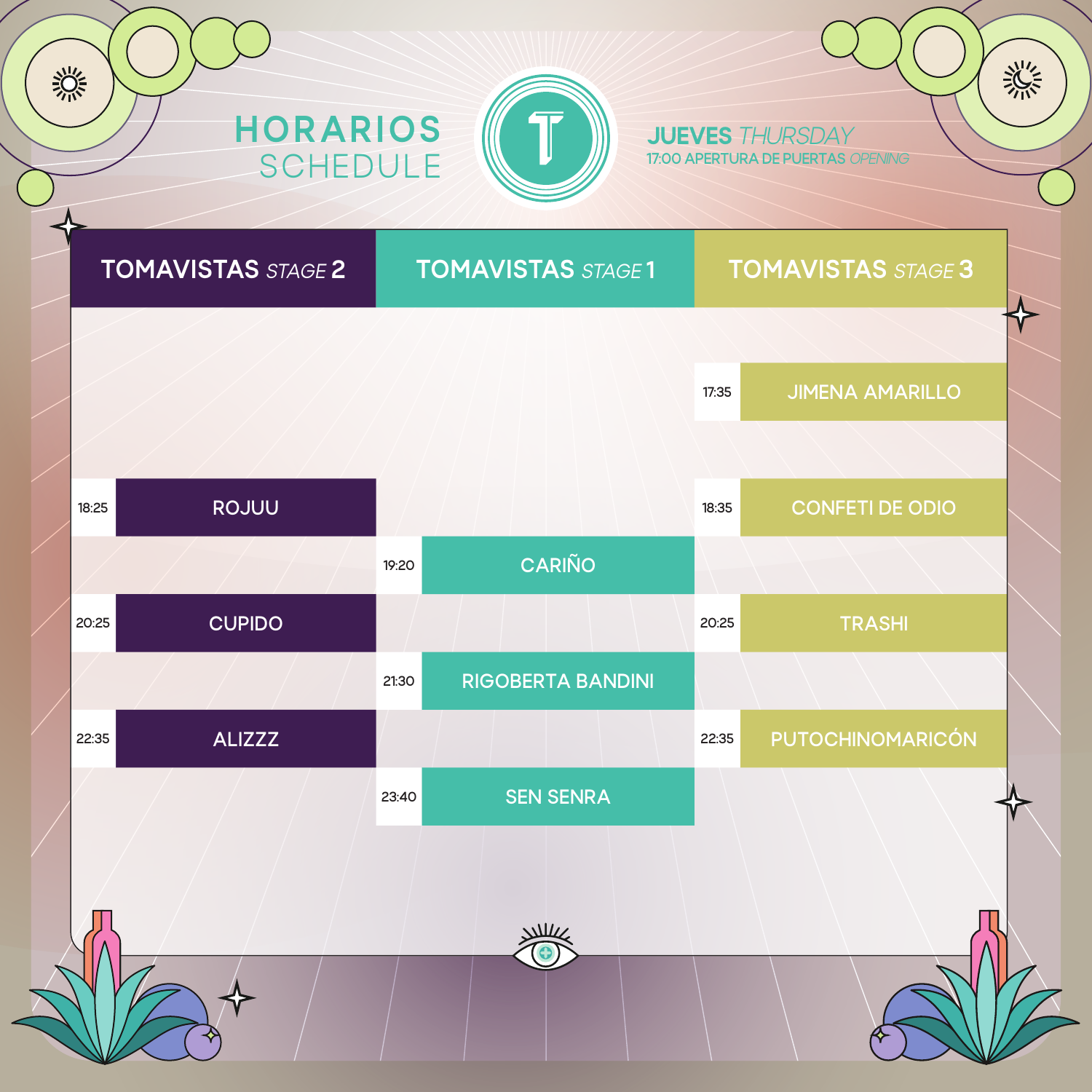



JUEVES *THURSDAY* **17:00 APERTURA DE PUERTAS** *OPENING*

# **TOMAVISTAS** *STAGE* **2 TOMAVISTAS** *STAGE* **1 TOMAVISTAS** *STAGE* **3**

淡

兴兴

**17:35 JIMENA AMARILLO**

| 18:25 | ROJUU         |       |                          | 18:35 | <b>CONFETI DE ODIO</b> |  |
|-------|---------------|-------|--------------------------|-------|------------------------|--|
|       |               | 19:20 | CARIÑO                   |       |                        |  |
| 20:25 | <b>CUPIDO</b> |       |                          | 20:25 | <b>TRASHI</b>          |  |
|       |               | 21:30 | <b>RIGOBERTA BANDINI</b> |       |                        |  |
| 22:35 | <b>ALIZZZ</b> |       |                          | 22:35 | PUTOCHINOMARICÓN       |  |
|       |               | 23:40 | <b>SEN SENRA</b>         |       |                        |  |
|       |               |       |                          |       |                        |  |
|       |               |       |                          |       |                        |  |
|       |               |       |                          |       |                        |  |

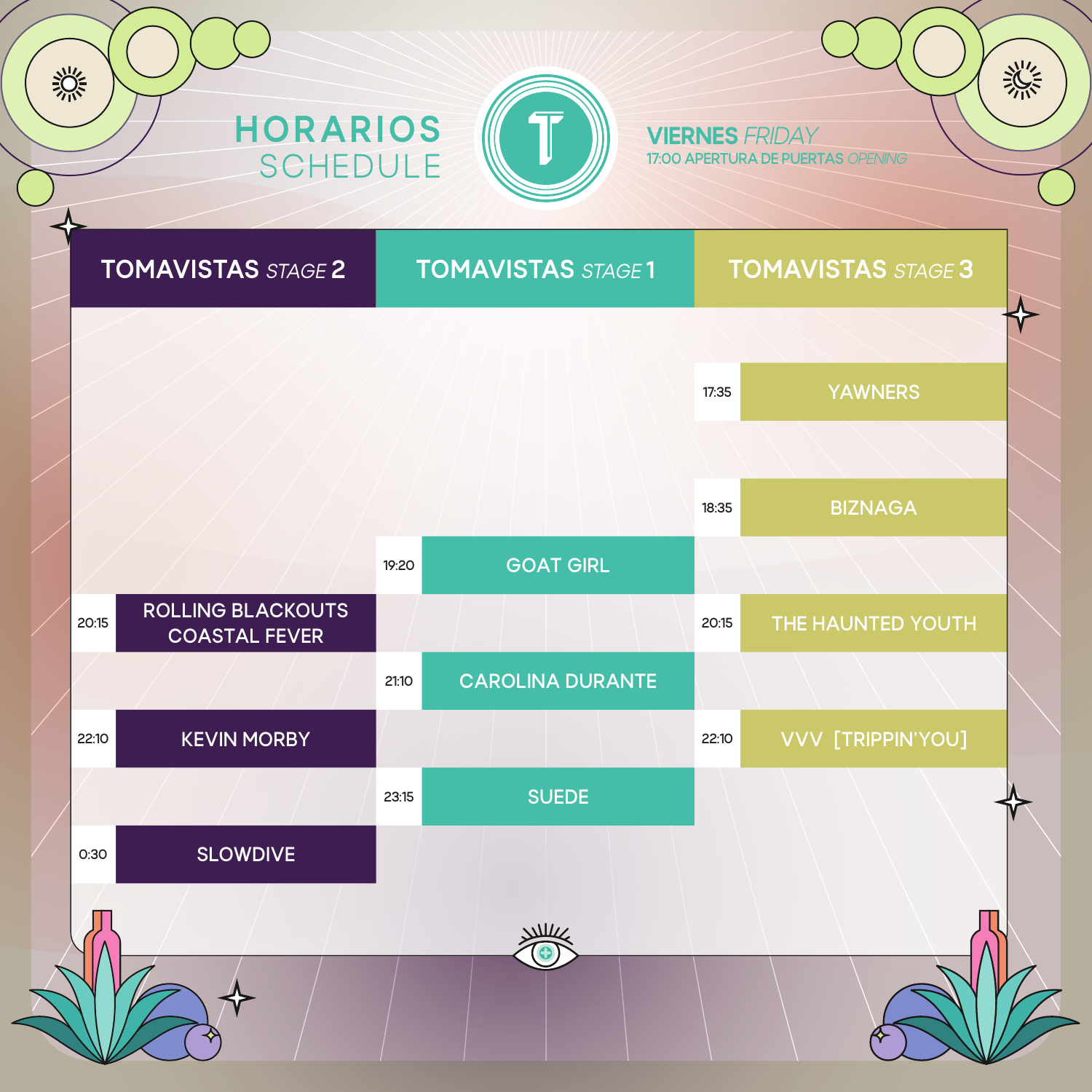



VIERNES *FRIDAY* **17:00 APERTURA DE PUERTAS** *OPENING*

# **TOMAVISTAS** *STAGE* **2 TOMAVISTAS** *STAGE* **1 TOMAVISTAS** *STAGE* **3**

淡

兴兴

**17:35 YAWNERS**

|       |                                           |       |                         | 18:35 | <b>BIZNAGA</b>    |  |
|-------|-------------------------------------------|-------|-------------------------|-------|-------------------|--|
|       |                                           | 19:20 | <b>GOAT GIRL</b>        |       |                   |  |
| 20:15 | ROLLING BLACKOUTS<br><b>COASTAL FEVER</b> |       |                         | 20:15 | THE HAUNTED YOUTH |  |
|       |                                           | 21:10 | <b>CAROLINA DURANTE</b> |       |                   |  |
| 22:10 | <b>KEVIN MORBY</b>                        |       |                         | 22:10 | VVV [TRIPPIN'YOU] |  |
|       |                                           | 23:15 | <b>SUEDE</b>            |       |                   |  |
| 0:30  | SLOWDIVE                                  |       |                         |       |                   |  |
|       |                                           |       | $\Delta$                |       |                   |  |